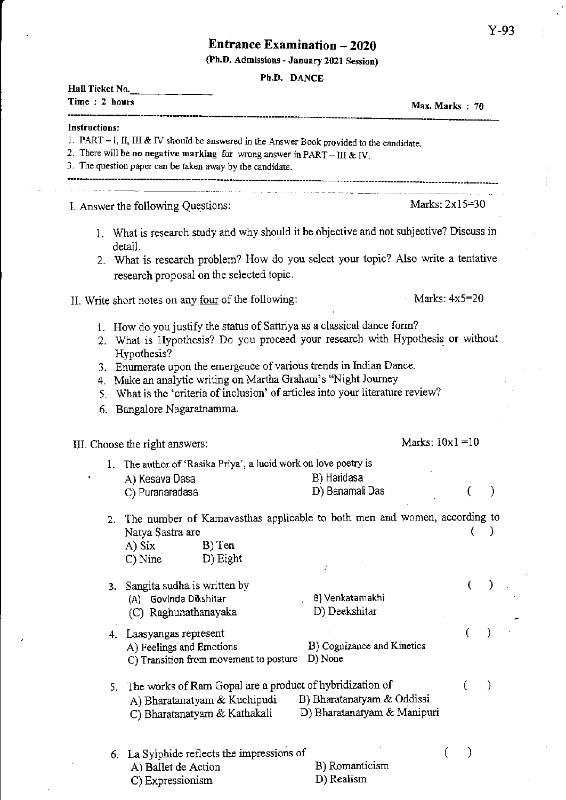## **Entrance Examination - 2020**

(Ph.D. Admissions - January 2021 Session)

**Ph D. DANCE** 

| Hall Ticket No.<br>Time: 2 hours                           |                                                                                                                                        | FR.D. DANCE                                                                                                                                                                                                                                                                                                     | Max. Marks $: 70$  |   |
|------------------------------------------------------------|----------------------------------------------------------------------------------------------------------------------------------------|-----------------------------------------------------------------------------------------------------------------------------------------------------------------------------------------------------------------------------------------------------------------------------------------------------------------|--------------------|---|
| Instructions:                                              | 2. There will be no negative marking for wrong answer in PART - III & IV.<br>3. The question paper can be taken away by the candidate. | 1. PART $-1$ , $\Pi$ , $\Pi$ & IV should be answered in the Answer Book provided to the candidate.                                                                                                                                                                                                              |                    |   |
|                                                            |                                                                                                                                        | <u> 1966 - Jan Jan Jan Barat, martin de la componenta</u>                                                                                                                                                                                                                                                       |                    |   |
| I. Answer the following Questions:                         |                                                                                                                                        |                                                                                                                                                                                                                                                                                                                 | Marks: $2x15=30$   |   |
|                                                            | detail.<br>research proposal on the selected topic.                                                                                    | 1. What is research study and why should it be objective and not subjective? Discuss in<br>2. What is research problem? How do you select your topic? Also write a tentative                                                                                                                                    |                    |   |
| II. Write short notes on any <u>four</u> of the following: |                                                                                                                                        |                                                                                                                                                                                                                                                                                                                 | Marks: $4x5=20$    |   |
| 5.<br>6.                                                   | Hypothesis?<br>4. Make an analytic writing on Martha Graham's "Night Journey<br>Bangalore Nagaratnamma.                                | 1. How do you justify the status of Sattriya as a classical dance form?<br>2. What is Hypothesis? Do you proceed your research with Hypothesis or without<br>3. Enumerate upon the emergence of various trends in Indian Dance.<br>What is the 'criteria of inclusion' of articles into your literature review? |                    |   |
| III. Choose the right answers:                             |                                                                                                                                        |                                                                                                                                                                                                                                                                                                                 | Marks: $10x1 = 10$ |   |
|                                                            | 1. The author of 'Rasika Priya', a lucid work on love poetry is<br>A) Kesava Dasa<br>C) Puranaradasa                                   | B) Haridasa<br>D) Banamali Das                                                                                                                                                                                                                                                                                  |                    |   |
| 2.                                                         | Natya Sastra are<br>B) Ten<br>A) Six<br>D) Eight<br>$C)$ Nine                                                                          | The number of Kamavasthas applicable to both men and women, according to                                                                                                                                                                                                                                        |                    |   |
|                                                            | 3. Sangita sudha is written by<br>(A) Govinda Dikshitar<br>(C) Raghunathanayaka                                                        | B) Venkatamakhi<br>D) Deekshitar                                                                                                                                                                                                                                                                                | €                  |   |
|                                                            | 4. Laasyangas represent<br>A) Feelings and Emotions<br>C) Transition from movement to posture                                          | B) Cognizance and Kinetics<br>D) None                                                                                                                                                                                                                                                                           |                    |   |
| 5.                                                         | The works of Ram Gopal are a product of hybridization of<br>A) Bharatanatyam & Kuchipudi<br>C) Bharatanatyam & Kathakali               | B) Bharatanatyam & Oddissi<br>D) Bharatanatyam & Manipuri                                                                                                                                                                                                                                                       |                    | € |
|                                                            | 6. La Sylphide reflects the impressions of<br>A) Ballet de Action<br>C) Expressionism                                                  | B) Romanticism<br>D) Realism                                                                                                                                                                                                                                                                                    |                    |   |